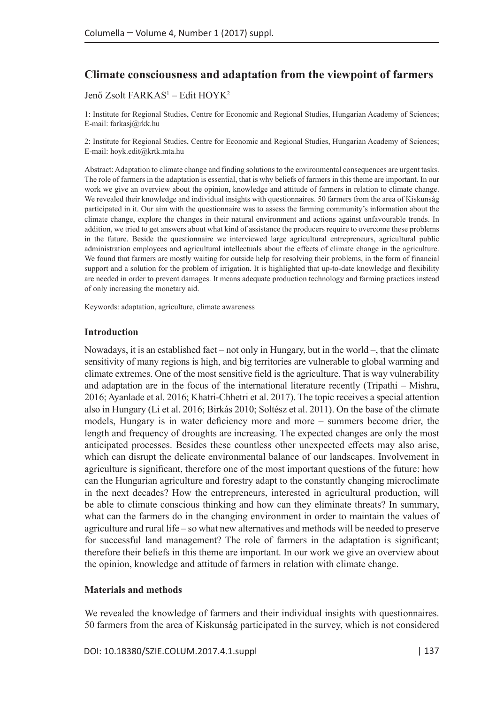# **Climate consciousness and adaptation from the viewpoint of farmers**

### Jenő Zsolt FARKAS<sup>1</sup> – Edit HOYK<sup>2</sup>

1: Institute for Regional Studies, Centre for Economic and Regional Studies, Hungarian Academy of Sciences; E-mail: farkasj@rkk.hu

2: Institute for Regional Studies, Centre for Economic and Regional Studies, Hungarian Academy of Sciences; E-mail: hoyk.edit@krtk.mta.hu

Abstract: Adaptation to climate change and finding solutions to the environmental consequences are urgent tasks. The role of farmers in the adaptation is essential, that is why beliefs of farmers in this theme are important. In our work we give an overview about the opinion, knowledge and attitude of farmers in relation to climate change. We revealed their knowledge and individual insights with questionnaires. 50 farmers from the area of Kiskunság participated in it. Our aim with the questionnaire was to assess the farming community's information about the climate change, explore the changes in their natural environment and actions against unfavourable trends. In addition, we tried to get answers about what kind of assistance the producers require to overcome these problems in the future. Beside the questionnaire we interviewed large agricultural entrepreneurs, agricultural public administration employees and agricultural intellectuals about the effects of climate change in the agriculture. We found that farmers are mostly waiting for outside help for resolving their problems, in the form of financial support and a solution for the problem of irrigation. It is highlighted that up-to-date knowledge and flexibility are needed in order to prevent damages. It means adequate production technology and farming practices instead of only increasing the monetary aid.

Keywords: adaptation, agriculture, climate awareness

#### **Introduction**

Nowadays, it is an established fact – not only in Hungary, but in the world –, that the climate sensitivity of many regions is high, and big territories are vulnerable to global warming and climate extremes. One of the most sensitive field is the agriculture. That is way vulnerability and adaptation are in the focus of the international literature recently (Tripathi – Mishra, 2016; Ayanlade et al. 2016; Khatri-Chhetri et al. 2017). The topic receives a special attention also in Hungary (Li et al. 2016; Birkás 2010; Soltész et al. 2011). On the base of the climate models, Hungary is in water deficiency more and more – summers become drier, the length and frequency of droughts are increasing. The expected changes are only the most anticipated processes. Besides these countless other unexpected effects may also arise, which can disrupt the delicate environmental balance of our landscapes. Involvement in agriculture is significant, therefore one of the most important questions of the future: how can the Hungarian agriculture and forestry adapt to the constantly changing microclimate in the next decades? How the entrepreneurs, interested in agricultural production, will be able to climate conscious thinking and how can they eliminate threats? In summary, what can the farmers do in the changing environment in order to maintain the values of agriculture and rural life – so what new alternatives and methods will be needed to preserve for successful land management? The role of farmers in the adaptation is significant; therefore their beliefs in this theme are important. In our work we give an overview about the opinion, knowledge and attitude of farmers in relation with climate change.

#### **Materials and methods**

We revealed the knowledge of farmers and their individual insights with questionnaires. 50 farmers from the area of Kiskunság participated in the survey, which is not considered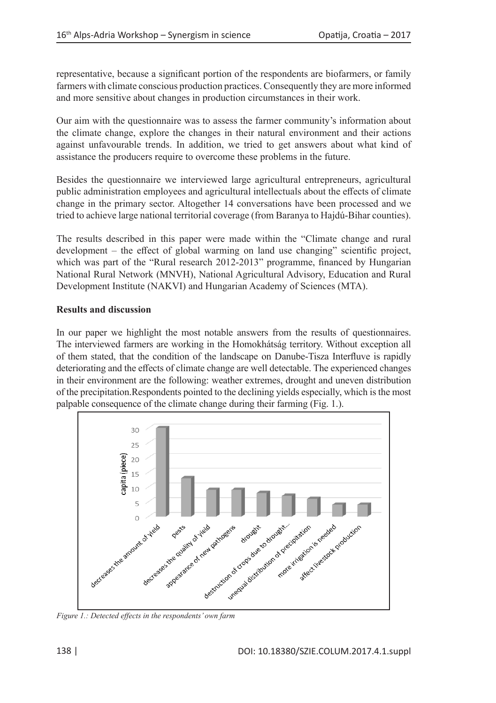representative, because a significant portion of the respondents are biofarmers, or family farmers with climate conscious production practices. Consequently they are more informed and more sensitive about changes in production circumstances in their work.

Our aim with the questionnaire was to assess the farmer community's information about the climate change, explore the changes in their natural environment and their actions against unfavourable trends. In addition, we tried to get answers about what kind of assistance the producers require to overcome these problems in the future.

Besides the questionnaire we interviewed large agricultural entrepreneurs, agricultural public administration employees and agricultural intellectuals about the effects of climate change in the primary sector. Altogether 14 conversations have been processed and we tried to achieve large national territorial coverage (from Baranya to Hajdú-Bihar counties).

The results described in this paper were made within the "Climate change and rural development – the effect of global warming on land use changing" scientific project, which was part of the "Rural research 2012-2013" programme, financed by Hungarian National Rural Network (MNVH), National Agricultural Advisory, Education and Rural Development Institute (NAKVI) and Hungarian Academy of Sciences (MTA).

### **Results and discussion**

In our paper we highlight the most notable answers from the results of questionnaires. The interviewed farmers are working in the Homokhátság territory. Without exception all of them stated, that the condition of the landscape on Danube-Tisza Interfluve is rapidly deteriorating and the effects of climate change are well detectable. The experienced changes in their environment are the following: weather extremes, drought and uneven distribution of the precipitation.Respondents pointed to the declining yields especially, which is the most palpable consequence of the climate change during their farming (Fig. 1.).



*Figure 1.: Detected effects in the respondents' own farm*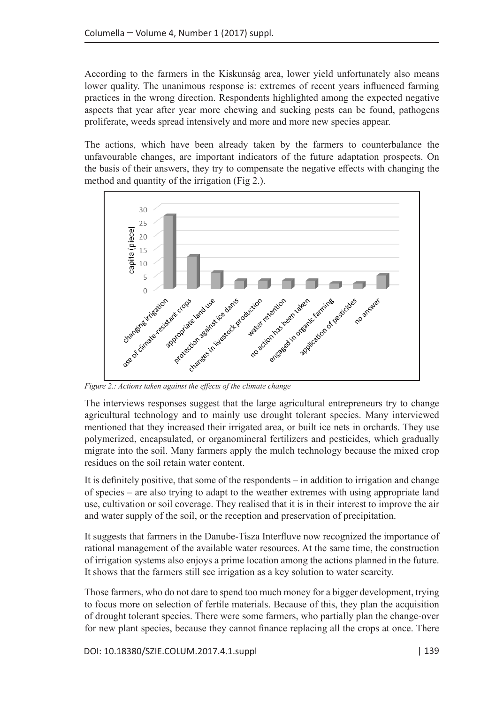According to the farmers in the Kiskunság area, lower yield unfortunately also means lower quality. The unanimous response is: extremes of recent years influenced farming practices in the wrong direction. Respondents highlighted among the expected negative aspects that year after year more chewing and sucking pests can be found, pathogens proliferate, weeds spread intensively and more and more new species appear.

The actions, which have been already taken by the farmers to counterbalance the unfavourable changes, are important indicators of the future adaptation prospects. On the basis of their answers, they try to compensate the negative effects with changing the method and quantity of the irrigation (Fig 2.).



*Figure 2.: Actions taken against the effects of the climate change*

The interviews responses suggest that the large agricultural entrepreneurs try to change agricultural technology and to mainly use drought tolerant species. Many interviewed mentioned that they increased their irrigated area, or built ice nets in orchards. They use polymerized, encapsulated, or organomineral fertilizers and pesticides, which gradually migrate into the soil. Many farmers apply the mulch technology because the mixed crop residues on the soil retain water content.

It is definitely positive, that some of the respondents – in addition to irrigation and change of species – are also trying to adapt to the weather extremes with using appropriate land use, cultivation or soil coverage. They realised that it is in their interest to improve the air and water supply of the soil, or the reception and preservation of precipitation.

It suggests that farmers in the Danube-Tisza Interfluve now recognized the importance of rational management of the available water resources. At the same time, the construction of irrigation systems also enjoys a prime location among the actions planned in the future. It shows that the farmers still see irrigation as a key solution to water scarcity.

Those farmers, who do not dare to spend too much money for a bigger development, trying to focus more on selection of fertile materials. Because of this, they plan the acquisition of drought tolerant species. There were some farmers, who partially plan the change-over for new plant species, because they cannot finance replacing all the crops at once. There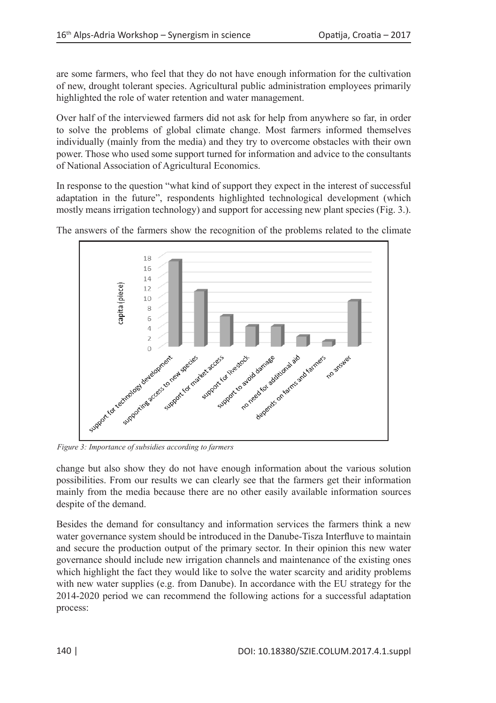are some farmers, who feel that they do not have enough information for the cultivation of new, drought tolerant species. Agricultural public administration employees primarily highlighted the role of water retention and water management.

Over half of the interviewed farmers did not ask for help from anywhere so far, in order to solve the problems of global climate change. Most farmers informed themselves individually (mainly from the media) and they try to overcome obstacles with their own power. Those who used some support turned for information and advice to the consultants of National Association of Agricultural Economics.

In response to the question "what kind of support they expect in the interest of successful adaptation in the future", respondents highlighted technological development (which mostly means irrigation technology) and support for accessing new plant species (Fig. 3.).



The answers of the farmers show the recognition of the problems related to the climate

*Figure 3: Importance of subsidies according to farmers*

change but also show they do not have enough information about the various solution possibilities. From our results we can clearly see that the farmers get their information mainly from the media because there are no other easily available information sources despite of the demand.

Besides the demand for consultancy and information services the farmers think a new water governance system should be introduced in the Danube-Tisza Interfluve to maintain and secure the production output of the primary sector. In their opinion this new water governance should include new irrigation channels and maintenance of the existing ones which highlight the fact they would like to solve the water scarcity and aridity problems with new water supplies (e.g. from Danube). In accordance with the EU strategy for the 2014-2020 period we can recommend the following actions for a successful adaptation process: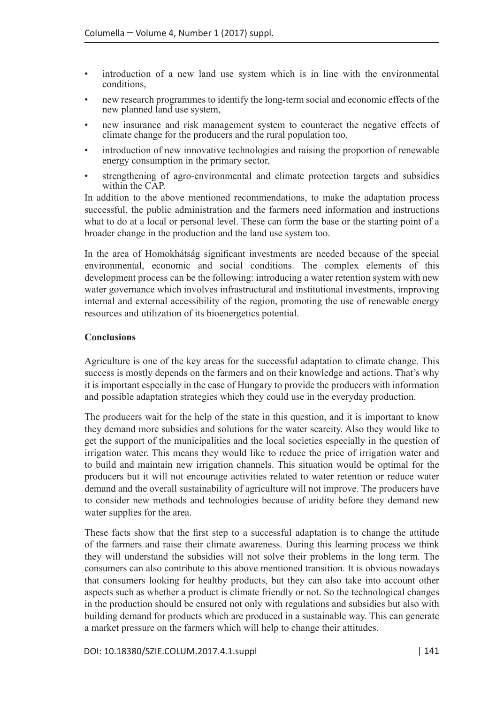- introduction of a new land use system which is in line with the environmental conditions,
- new research programmes to identify the long-term social and economic effects of the new planned land use system,
- new insurance and risk management system to counteract the negative effects of climate change for the producers and the rural population too,
- introduction of new innovative technologies and raising the proportion of renewable energy consumption in the primary sector,
- strengthening of agro-environmental and climate protection targets and subsidies within the CAP.

In addition to the above mentioned recommendations, to make the adaptation process successful, the public administration and the farmers need information and instructions what to do at a local or personal level. These can form the base or the starting point of a broader change in the production and the land use system too.

In the area of Homokhátság significant investments are needed because of the special environmental, economic and social conditions. The complex elements of this development process can be the following: introducing a water retention system with new water governance which involves infrastructural and institutional investments, improving internal and external accessibility of the region, promoting the use of renewable energy resources and utilization of its bioenergetics potential.

## **Conclusions**

Agriculture is one of the key areas for the successful adaptation to climate change. This success is mostly depends on the farmers and on their knowledge and actions. That's why it is important especially in the case of Hungary to provide the producers with information and possible adaptation strategies which they could use in the everyday production.

The producers wait for the help of the state in this question, and it is important to know they demand more subsidies and solutions for the water scarcity. Also they would like to get the support of the municipalities and the local societies especially in the question of irrigation water. This means they would like to reduce the price of irrigation water and to build and maintain new irrigation channels. This situation would be optimal for the producers but it will not encourage activities related to water retention or reduce water demand and the overall sustainability of agriculture will not improve. The producers have to consider new methods and technologies because of aridity before they demand new water supplies for the area.

These facts show that the first step to a successful adaptation is to change the attitude of the farmers and raise their climate awareness. During this learning process we think they will understand the subsidies will not solve their problems in the long term. The consumers can also contribute to this above mentioned transition. It is obvious nowadays that consumers looking for healthy products, but they can also take into account other aspects such as whether a product is climate friendly or not. So the technological changes in the production should be ensured not only with regulations and subsidies but also with building demand for products which are produced in a sustainable way. This can generate a market pressure on the farmers which will help to change their attitudes.